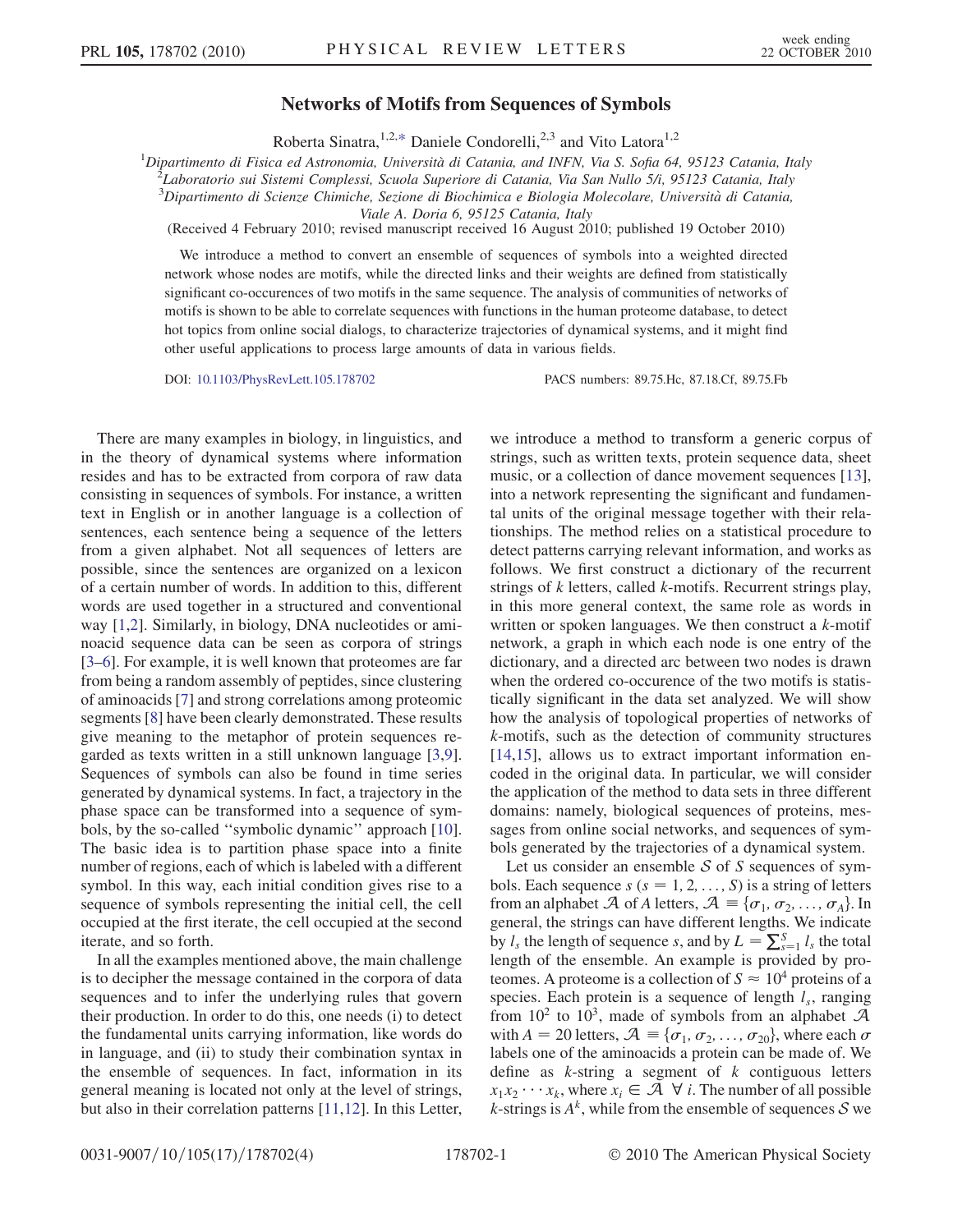## Networks of Motifs from Sequences of Symbols

Roberta Sinatra,  $1,2,*$  $1,2,*$  Daniele Condorelli,  $2,3$  and Vito Latora<sup>1,2</sup>

<span id="page-0-0"></span><sup>1</sup>Dipartimento di Fisica ed Astronomia, Università di Catania, and INFN, Via S. Sofia 64, 95123 Catania, Italy  $\frac{2}{l}$ debaratorio sui Sistemi Complessi, Scuola Superiore di Catania, Via San Nullo 5/6, 95123 Catania, It

Laboratorio sui Sistemi Complessi, Scuola Superiore di Catania, Via San Nullo 5/i, 95123 Catania, Italy

<sup>3</sup>Dipartimento di Scienze Chimiche, Sezione di Biochimica e Biologia Molecolare, Università di Catania,

Viale A. Doria 6, 95125 Catania, Italy

(Received 4 February 2010; revised manuscript received 16 August 2010; published 19 October 2010)

We introduce a method to convert an ensemble of sequences of symbols into a weighted directed network whose nodes are motifs, while the directed links and their weights are defined from statistically significant co-occurences of two motifs in the same sequence. The analysis of communities of networks of motifs is shown to be able to correlate sequences with functions in the human proteome database, to detect hot topics from online social dialogs, to characterize trajectories of dynamical systems, and it might find other useful applications to process large amounts of data in various fields.

DOI: [10.1103/PhysRevLett.105.178702](http://dx.doi.org/10.1103/PhysRevLett.105.178702) PACS numbers: 89.75.Hc, 87.18.Cf, 89.75.Fb

There are many examples in biology, in linguistics, and in the theory of dynamical systems where information resides and has to be extracted from corpora of raw data consisting in sequences of symbols. For instance, a written text in English or in another language is a collection of sentences, each sentence being a sequence of the letters from a given alphabet. Not all sequences of letters are possible, since the sentences are organized on a lexicon of a certain number of words. In addition to this, different words are used together in a structured and conventional way [[1](#page-3-1),[2\]](#page-3-2). Similarly, in biology, DNA nucleotides or aminoacid sequence data can be seen as corpora of strings [\[3–](#page-3-3)[6](#page-3-4)]. For example, it is well known that proteomes are far from being a random assembly of peptides, since clustering of aminoacids [\[7](#page-3-5)] and strong correlations among proteomic segments [\[8\]](#page-3-6) have been clearly demonstrated. These results give meaning to the metaphor of protein sequences regarded as texts written in a still unknown language [[3](#page-3-3),[9\]](#page-3-7). Sequences of symbols can also be found in time series generated by dynamical systems. In fact, a trajectory in the phase space can be transformed into a sequence of symbols, by the so-called ''symbolic dynamic'' approach [[10\]](#page-3-8). The basic idea is to partition phase space into a finite number of regions, each of which is labeled with a different symbol. In this way, each initial condition gives rise to a sequence of symbols representing the initial cell, the cell occupied at the first iterate, the cell occupied at the second iterate, and so forth.

In all the examples mentioned above, the main challenge is to decipher the message contained in the corpora of data sequences and to infer the underlying rules that govern their production. In order to do this, one needs (i) to detect the fundamental units carrying information, like words do in language, and (ii) to study their combination syntax in the ensemble of sequences. In fact, information in its general meaning is located not only at the level of strings, but also in their correlation patterns [\[11](#page-3-9)[,12\]](#page-3-10). In this Letter, we introduce a method to transform a generic corpus of strings, such as written texts, protein sequence data, sheet music, or a collection of dance movement sequences [[13\]](#page-3-11), into a network representing the significant and fundamental units of the original message together with their relationships. The method relies on a statistical procedure to detect patterns carrying relevant information, and works as follows. We first construct a dictionary of the recurrent strings of k letters, called k-motifs. Recurrent strings play, in this more general context, the same role as words in written or spoken languages. We then construct a *k*-motif network, a graph in which each node is one entry of the dictionary, and a directed arc between two nodes is drawn when the ordered co-occurence of the two motifs is statistically significant in the data set analyzed. We will show how the analysis of topological properties of networks of k-motifs, such as the detection of community structures [\[14](#page-3-12)[,15\]](#page-3-13), allows us to extract important information encoded in the original data. In particular, we will consider the application of the method to data sets in three different domains: namely, biological sequences of proteins, messages from online social networks, and sequences of symbols generated by the trajectories of a dynamical system.

Let us consider an ensemble  $S$  of S sequences of symbols. Each sequence  $s$  ( $s = 1, 2, \ldots, S$ ) is a string of letters from an alphabet A of A letters,  $A = {\sigma_1, \sigma_2, ..., \sigma_A}$ . In general, the strings can have different lengths. We indicate by  $l_s$  the length of sequence s, and by  $L = \sum_{s=1}^{S} l_s$  the total<br>length of the ensemble. An example is provided by prolength of the ensemble. An example is provided by proteomes. A proteome is a collection of  $S \approx 10^4$  proteins of a species. Each protein is a sequence of length *l* ranging species. Each protein is a sequence of length  $l_s$ , ranging from  $10^2$  to  $10^3$ , made of symbols from an alphabet A with  $A = 20$  letters,  $A = {\sigma_1, \sigma_2, ..., \sigma_{20}}$ , where each  $\sigma$ labels one of the aminoacids a protein can be made of. We define as  $k$ -string a segment of  $k$  contiguous letters  $x_1x_2 \cdots x_k$ , where  $x_i \in \mathcal{A}$   $\forall$  *i*. The number of all possible k-strings is  $A<sup>k</sup>$ , while from the ensemble of sequences S we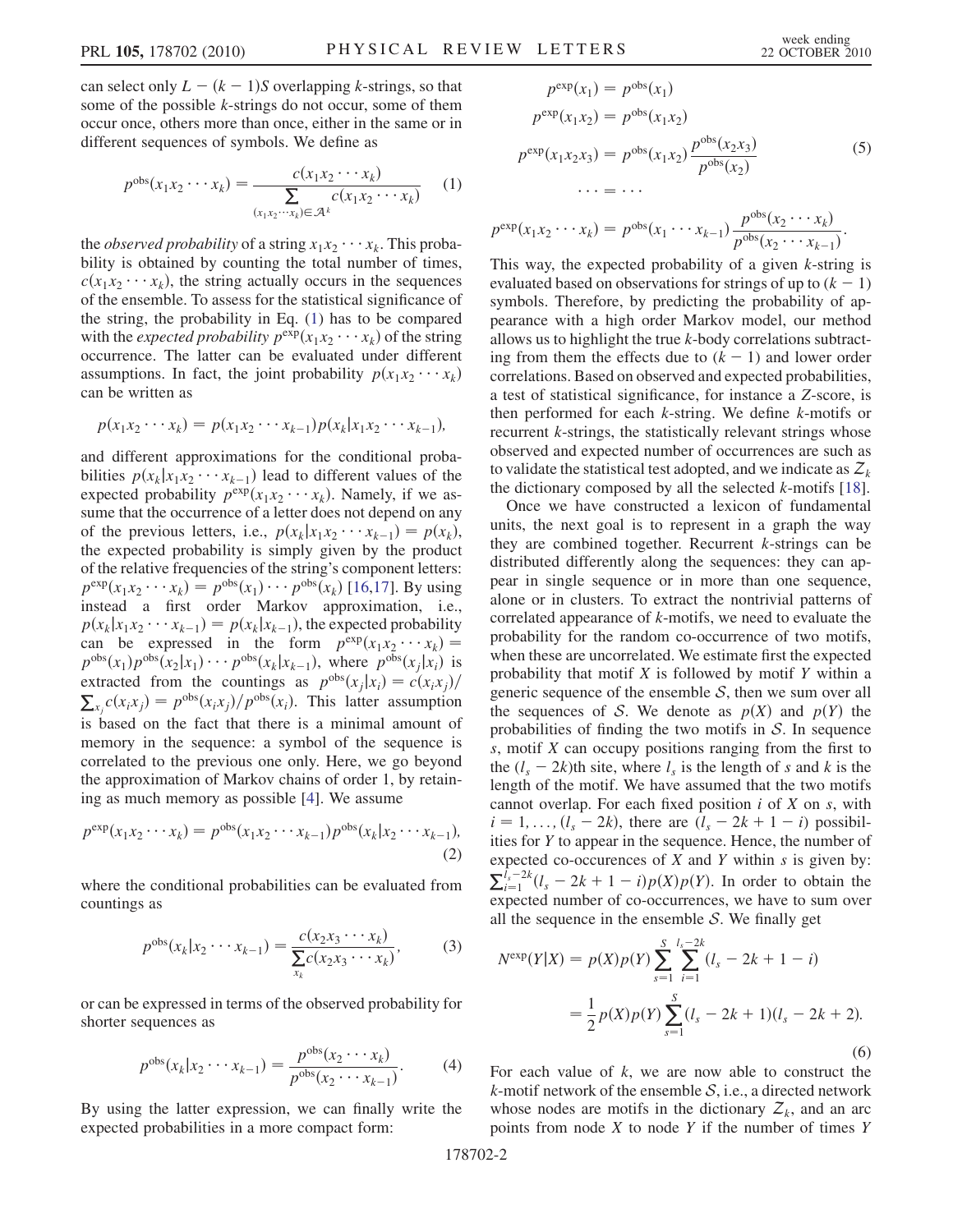can select only  $L - (k - 1)S$  overlapping k-strings, so that some of the possible k-strings do not occur, some of them occur once, others more than once, either in the same or in different sequences of symbols. We define as

<span id="page-1-0"></span>
$$
p^{\text{obs}}(x_1 x_2 \cdots x_k) = \frac{c(x_1 x_2 \cdots x_k)}{\sum_{(x_1 x_2 \cdots x_k) \in \mathcal{A}^k} c(x_1 x_2 \cdots x_k)} \quad (1)
$$

the *observed probability* of a string  $x_1x_2 \cdots x_k$ . This probability is obtained by counting the total number of times,  $c(x_1x_2 \cdots x_k)$ , the string actually occurs in the sequences of the ensemble. To assess for the statistical significance of the string, the probability in Eq. [\(1\)](#page-1-0) has to be compared with the *expected probability*  $p^{\exp}(x_1x_2 \cdots x_k)$  of the string occurrence. The latter can be evaluated under different assumptions. In fact, the joint probability  $p(x_1x_2 \cdots x_k)$ can be written as

$$
p(x_1x_2\cdots x_k) = p(x_1x_2\cdots x_{k-1})p(x_k|x_1x_2\cdots x_{k-1}),
$$

and different approximations for the conditional probabilities  $p(x_k|x_1x_2 \cdots x_{k-1})$  lead to different values of the expected probability  $p^{\exp}(x_1x_2 \cdots x_k)$ . Namely, if we assume that the occurrence of a letter does not depend on any of the previous letters, i.e.,  $p(x_k|x_1x_2 \cdots x_{k-1}) = p(x_k)$ , the expected probability is simply given by the product of the relative frequencies of the string's component letters:  $p^{\text{exp}}(x_1x_2 \cdots x_k) = p^{\text{obs}}(x_1) \cdots p^{\text{obs}}(x_k)$  [[16](#page-3-14),[17](#page-3-15)]. By using instead a first order Markov approximation, i.e.,  $p(x_k|x_1x_2 \cdots x_{k-1}) = p(x_k|x_{k-1})$ , the expected probability can be expressed in the form  $p^{\exp}(x_1x_2 \cdots x_k) =$  $p^{\text{obs}}(x_1)p^{\text{obs}}(x_2|x_1)\cdots p^{\text{obs}}(x_k|x_{k-1})$ , where  $p^{\text{obs}}(x_j|x_i)$  is extracted from the countings as  $p^{\text{obs}}(x_j|x_i) = c(x_ix_j)$  $\sum_{x_j} c(x_i x_j) = p^{\text{obs}}(x_i x_j) / p^{\text{obs}}(x_i)$ . This latter assumption is based on the fact that there is a minimal amount of memory in the sequence: a symbol of the sequence is correlated to the previous one only. Here, we go beyond the approximation of Markov chains of order 1, by retaining as much memory as possible [[4](#page-3-16)]. We assume

$$
p^{\exp}(x_1 x_2 \cdots x_k) = p^{\text{obs}}(x_1 x_2 \cdots x_{k-1}) p^{\text{obs}}(x_k | x_2 \cdots x_{k-1}),
$$
\n(2)

where the conditional probabilities can be evaluated from countings as

$$
p^{\text{obs}}(x_k | x_2 \cdots x_{k-1}) = \frac{c(x_2 x_3 \cdots x_k)}{\sum_{x_k} c(x_2 x_3 \cdots x_k)},
$$
 (3)

or can be expressed in terms of the observed probability for shorter sequences as

$$
p^{\text{obs}}(x_k | x_2 \cdots x_{k-1}) = \frac{p^{\text{obs}}(x_2 \cdots x_k)}{p^{\text{obs}}(x_2 \cdots x_{k-1})}.
$$
 (4)

By using the latter expression, we can finally write the expected probabilities in a more compact form:

$$
p^{\exp}(x_1) = p^{\text{obs}}(x_1)
$$
  
\n
$$
p^{\exp}(x_1 x_2) = p^{\text{obs}}(x_1 x_2)
$$
  
\n
$$
p^{\exp}(x_1 x_2 x_3) = p^{\text{obs}}(x_1 x_2) \frac{p^{\text{obs}}(x_2 x_3)}{p^{\text{obs}}(x_2)}
$$
  
\n... = ... (5)

$$
p^{\exp}(x_1 x_2 \cdots x_k) = p^{\text{obs}}(x_1 \cdots x_{k-1}) \frac{p^{\text{obs}}(x_2 \cdots x_k)}{p^{\text{obs}}(x_2 \cdots x_{k-1})}.
$$
  
This way, the expected probability of a given *k*-string is

evaluated based on observations for strings of up to  $(k - 1)$ symbols. Therefore, by predicting the probability of appearance with a high order Markov model, our method allows us to highlight the true k-body correlations subtracting from them the effects due to  $(k - 1)$  and lower order correlations. Based on observed and expected probabilities, a test of statistical significance, for instance a Z-score, is then performed for each k-string. We define k-motifs or recurrent *k*-strings, the statistically relevant strings whose observed and expected number of occurrences are such as to validate the statistical test adopted, and we indicate as  $Z_k$ the dictionary composed by all the selected  $k$ -motifs [[18](#page-3-17)].

Once we have constructed a lexicon of fundamental units, the next goal is to represent in a graph the way they are combined together. Recurrent k-strings can be distributed differently along the sequences: they can appear in single sequence or in more than one sequence, alone or in clusters. To extract the nontrivial patterns of correlated appearance of k-motifs, we need to evaluate the probability for the random co-occurrence of two motifs, when these are uncorrelated. We estimate first the expected probability that motif  $X$  is followed by motif  $Y$  within a generic sequence of the ensemble  $S$ , then we sum over all the sequences of S. We denote as  $p(X)$  and  $p(Y)$  the probabilities of finding the two motifs in  $S$ . In sequence s, motif X can occupy positions ranging from the first to the  $(l_s - 2k)$ th site, where  $l_s$  is the length of s and k is the length of the motif. We have assumed that the two motifs cannot overlap. For each fixed position  $i$  of  $X$  on  $s$ , with  $i = 1, ..., (l_s - 2k)$ , there are  $(l_s - 2k + 1 - i)$  possibilities for Y to appear in the sequence. Hence, the number of expected co-occurences of  $X$  and  $Y$  within  $s$  is given by:  $\sum_{i=1}^{l_s-2k} (l_s - 2k + 1 - i) p(X)p(Y)$ . In order to obtain the expected number of co-occurrences, we have to sum over expected number of co-occurrences, we have to sum over all the sequence in the ensemble  $S$ . We finally get

$$
N^{\exp}(Y|X) = p(X)p(Y) \sum_{s=1}^{S} \sum_{i=1}^{l_s - 2k} (l_s - 2k + 1 - i)
$$
  
=  $\frac{1}{2} p(X)p(Y) \sum_{s=1}^{S} (l_s - 2k + 1)(l_s - 2k + 2).$  (6)

For each value of  $k$ , we are now able to construct the k-motif network of the ensemble  $S$ , i.e., a directed network whose nodes are motifs in the dictionary  $Z_k$ , and an arc points from node  $X$  to node  $Y$  if the number of times  $Y$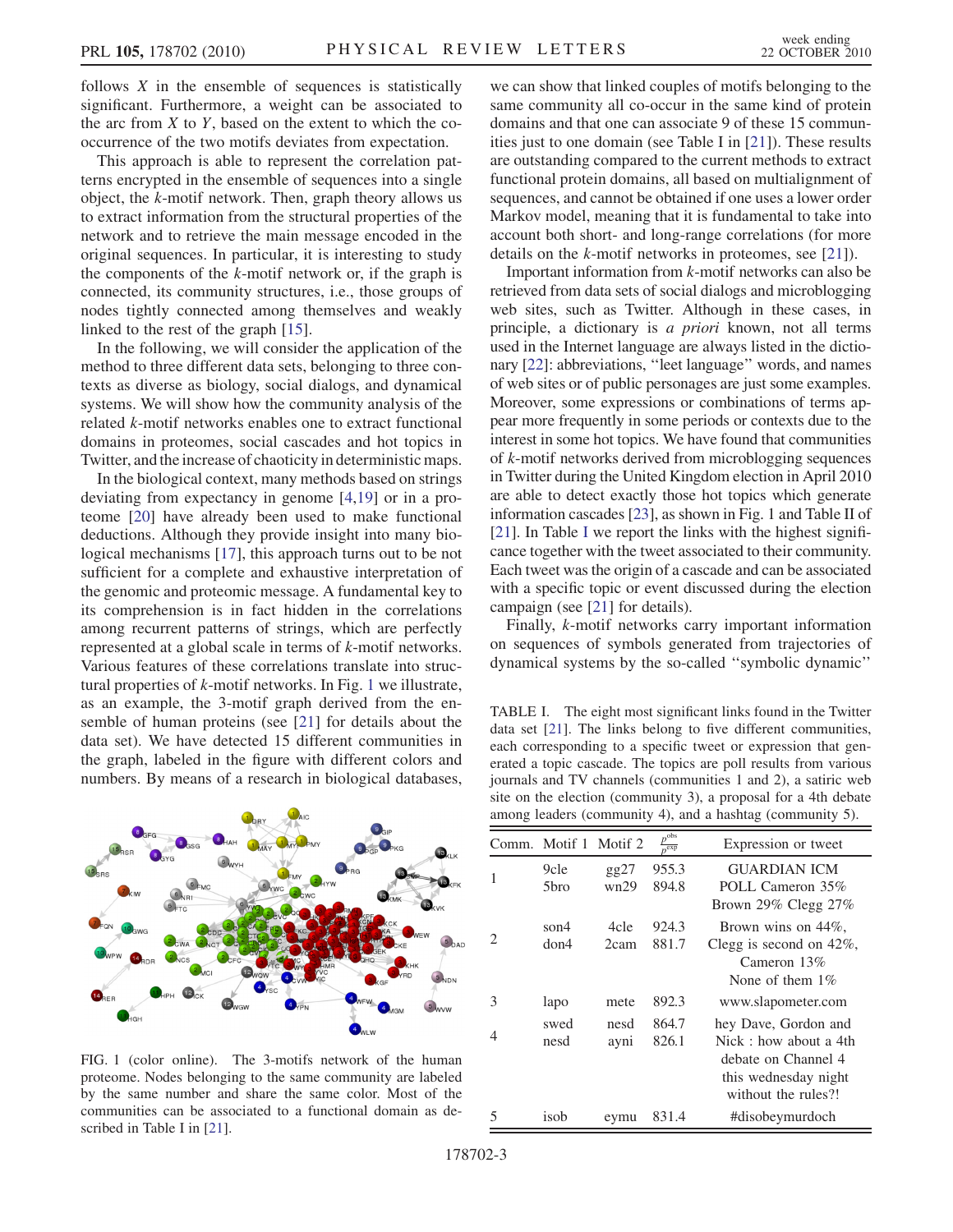follows  $X$  in the ensemble of sequences is statistically significant. Furthermore, a weight can be associated to the arc from  $X$  to  $Y$ , based on the extent to which the cooccurrence of the two motifs deviates from expectation.

This approach is able to represent the correlation patterns encrypted in the ensemble of sequences into a single object, the k-motif network. Then, graph theory allows us to extract information from the structural properties of the network and to retrieve the main message encoded in the original sequences. In particular, it is interesting to study the components of the  $k$ -motif network or, if the graph is connected, its community structures, i.e., those groups of nodes tightly connected among themselves and weakly linked to the rest of the graph [\[15\]](#page-3-13).

In the following, we will consider the application of the method to three different data sets, belonging to three contexts as diverse as biology, social dialogs, and dynamical systems. We will show how the community analysis of the related k-motif networks enables one to extract functional domains in proteomes, social cascades and hot topics in Twitter, and the increase of chaoticity in deterministic maps.

In the biological context, many methods based on strings deviating from expectancy in genome [\[4](#page-3-16)[,19\]](#page-3-18) or in a proteome [\[20](#page-3-19)] have already been used to make functional deductions. Although they provide insight into many biological mechanisms [[17\]](#page-3-15), this approach turns out to be not sufficient for a complete and exhaustive interpretation of the genomic and proteomic message. A fundamental key to its comprehension is in fact hidden in the correlations among recurrent patterns of strings, which are perfectly represented at a global scale in terms of k-motif networks. Various features of these correlations translate into structural properties of k-motif networks. In Fig. [1](#page-2-0) we illustrate, as an example, the 3-motif graph derived from the ensemble of human proteins (see [\[21\]](#page-3-20) for details about the data set). We have detected 15 different communities in the graph, labeled in the figure with different colors and numbers. By means of a research in biological databases,

<span id="page-2-0"></span>

FIG. 1 (color online). The 3-motifs network of the human proteome. Nodes belonging to the same community are labeled by the same number and share the same color. Most of the communities can be associated to a functional domain as described in Table I in [\[21\]](#page-3-20).

we can show that linked couples of motifs belonging to the same community all co-occur in the same kind of protein domains and that one can associate 9 of these 15 communities just to one domain (see Table I in [\[21\]](#page-3-20)). These results are outstanding compared to the current methods to extract functional protein domains, all based on multialignment of sequences, and cannot be obtained if one uses a lower order Markov model, meaning that it is fundamental to take into account both short- and long-range correlations (for more details on the k-motif networks in proteomes, see [\[21\]](#page-3-20)).

Important information from k-motif networks can also be retrieved from data sets of social dialogs and microblogging web sites, such as Twitter. Although in these cases, in principle, a dictionary is a priori known, not all terms used in the Internet language are always listed in the dictionary [\[22](#page-3-21)]: abbreviations, ''leet language'' words, and names of web sites or of public personages are just some examples. Moreover, some expressions or combinations of terms appear more frequently in some periods or contexts due to the interest in some hot topics. We have found that communities of k-motif networks derived from microblogging sequences in Twitter during the United Kingdom election in April 2010 are able to detect exactly those hot topics which generate information cascades [\[23](#page-3-22)], as shown in Fig. 1 and Table II of [\[21\]](#page-3-20). In Table [I](#page-2-1) we report the links with the highest significance together with the tweet associated to their community. Each tweet was the origin of a cascade and can be associated with a specific topic or event discussed during the election campaign (see [[21](#page-3-20)] for details).

Finally, k-motif networks carry important information on sequences of symbols generated from trajectories of dynamical systems by the so-called ''symbolic dynamic''

<span id="page-2-1"></span>TABLE I. The eight most significant links found in the Twitter data set [[21\]](#page-3-20). The links belong to five different communities, each corresponding to a specific tweet or expression that generated a topic cascade. The topics are poll results from various journals and TV channels (communities 1 and 2), a satiric web site on the election (community 3), a proposal for a 4th debate among leaders (community 4), and a hashtag (community 5).

|   | Comm. Motif 1 Motif 2    |                 | $p^{\mathrm{obs}}$<br>$n^{exp}$ | Expression or tweet                                                                          |
|---|--------------------------|-----------------|---------------------------------|----------------------------------------------------------------------------------------------|
|   | 9cle<br>5 <sub>bro</sub> | gg27<br>wn29    | 955.3<br>894.8                  | <b>GUARDIAN ICM</b><br>POLL Cameron 35%<br>Brown 29% Clegg 27%                               |
| 2 | son $4$<br>don4          | 4cle<br>$2$ cam | 924.3<br>881.7                  | Brown wins on 44%.<br>Clegg is second on $42\%$ ,<br>Cameron $13\%$<br>None of them $1\%$    |
| 3 | lapo                     | mete            | 892.3                           | www.slapometer.com                                                                           |
| 4 | swed<br>nesd             | nesd<br>ayni    | 864.7<br>826.1                  | hey Dave, Gordon and<br>Nick: how about a 4th<br>debate on Channel 4<br>this wednesday night |
| 5 | isob                     | eymu            | 831.4                           | without the rules?!<br>#disobeymurdoch                                                       |